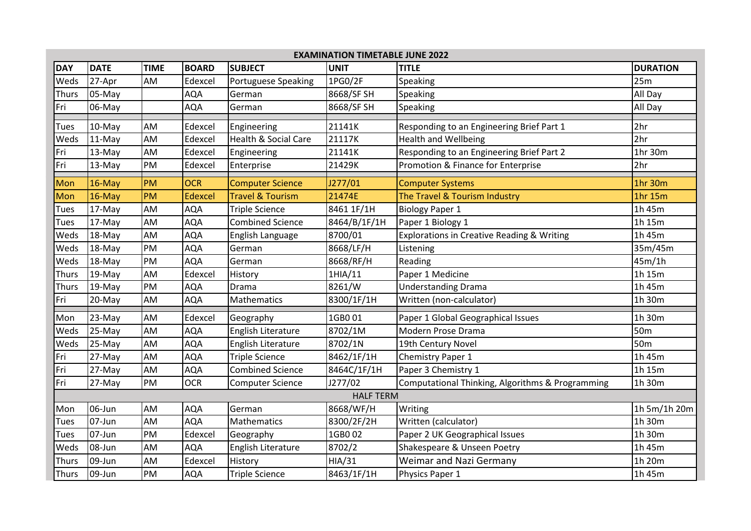| <b>EXAMINATION TIMETABLE JUNE 2022</b> |             |             |                |                                 |              |                                                  |                 |  |  |  |
|----------------------------------------|-------------|-------------|----------------|---------------------------------|--------------|--------------------------------------------------|-----------------|--|--|--|
| <b>DAY</b>                             | <b>DATE</b> | <b>TIME</b> | <b>BOARD</b>   | <b>SUBJECT</b>                  | <b>UNIT</b>  | <b>TITLE</b>                                     | <b>DURATION</b> |  |  |  |
| Weds                                   | 27-Apr      | AM          | Edexcel        | Portuguese Speaking             | 1PG0/2F      | Speaking                                         | 25m             |  |  |  |
| Thurs                                  | 05-May      |             | AQA            | German                          | 8668/SF SH   | Speaking                                         | All Day         |  |  |  |
| Fri                                    | 06-May      |             | AQA            | German                          | 8668/SF SH   | Speaking                                         | All Day         |  |  |  |
| <b>Tues</b>                            | 10-May      | AM          | Edexcel        | Engineering                     | 21141K       | Responding to an Engineering Brief Part 1        | 2hr             |  |  |  |
| Weds                                   | 11-May      | AM          | Edexcel        | <b>Health &amp; Social Care</b> | 21117K       | <b>Health and Wellbeing</b>                      | 2hr             |  |  |  |
| Fri                                    | 13-May      | AM          | Edexcel        | Engineering                     | 21141K       | Responding to an Engineering Brief Part 2        | 1hr 30m         |  |  |  |
| Fri                                    | 13-May      | PM          | Edexcel        | Enterprise                      | 21429K       | Promotion & Finance for Enterprise               | 2hr             |  |  |  |
| Mon                                    | $16$ -May   | PM          | <b>OCR</b>     | <b>Computer Science</b>         | J277/01      | <b>Computer Systems</b>                          | 1hr 30m         |  |  |  |
| Mon                                    | $16$ -May   | <b>PM</b>   | <b>Edexcel</b> | <b>Travel &amp; Tourism</b>     | 21474E       | The Travel & Tourism Industry                    | 1hr 15m         |  |  |  |
| Tues                                   | 17-May      | AM          | AQA            | <b>Triple Science</b>           | 8461 1F/1H   | <b>Biology Paper 1</b>                           | 1h 45m          |  |  |  |
| Tues                                   | 17-May      | AM          | <b>AQA</b>     | <b>Combined Science</b>         | 8464/B/1F/1H | Paper 1 Biology 1                                | 1h 15m          |  |  |  |
| Weds                                   | 18-May      | AM          | AQA            | English Language                | 8700/01      | Explorations in Creative Reading & Writing       | 1h 45m          |  |  |  |
| Weds                                   | 18-May      | PM          | AQA            | German                          | 8668/LF/H    | Listening                                        | 35m/45m         |  |  |  |
| Weds                                   | 18-May      | PM          | AQA            | German                          | 8668/RF/H    | Reading                                          | 45m/1h          |  |  |  |
| <b>Thurs</b>                           | 19-May      | AM          | Edexcel        | History                         | 1HIA/11      | Paper 1 Medicine                                 | 1h 15m          |  |  |  |
| <b>Thurs</b>                           | 19-May      | PM          | AQA            | Drama                           | 8261/W       | <b>Understanding Drama</b>                       | 1h 45m          |  |  |  |
| Fri                                    | 20-May      | AM          | AQA            | Mathematics                     | 8300/1F/1H   | Written (non-calculator)                         | 1h 30m          |  |  |  |
| Mon                                    | 23-May      | AM          | Edexcel        | Geography                       | 1GB001       | Paper 1 Global Geographical Issues               | 1h 30m          |  |  |  |
| Weds                                   | 25-May      | AM          | <b>AQA</b>     | English Literature              | 8702/1M      | Modern Prose Drama                               | 50 <sub>m</sub> |  |  |  |
| Weds                                   | 25-May      | AM          | AQA            | English Literature              | 8702/1N      | 19th Century Novel                               | 50 <sub>m</sub> |  |  |  |
| Fri                                    | 27-May      | AM          | AQA            | <b>Triple Science</b>           | 8462/1F/1H   | Chemistry Paper 1                                | 1h 45m          |  |  |  |
| Fri                                    | 27-May      | AM          | AQA            | <b>Combined Science</b>         | 8464C/1F/1H  | Paper 3 Chemistry 1                              | 1h 15m          |  |  |  |
| Fri                                    | 27-May      | PM          | <b>OCR</b>     | <b>Computer Science</b>         | J277/02      | Computational Thinking, Algorithms & Programming | 1h 30m          |  |  |  |
| <b>HALF TERM</b>                       |             |             |                |                                 |              |                                                  |                 |  |  |  |
| Mon                                    | 06-Jun      | AM          | AQA            | German                          | 8668/WF/H    | Writing                                          | 1h 5m/1h 20m    |  |  |  |
| <b>Tues</b>                            | 07-Jun      | AM          | AQA            | <b>Mathematics</b>              | 8300/2F/2H   | Written (calculator)                             | 1h 30m          |  |  |  |
| Tues                                   | 07-Jun      | PM          | Edexcel        | Geography                       | 1GB002       | Paper 2 UK Geographical Issues                   | 1h 30m          |  |  |  |
| Weds                                   | 08-Jun      | AM          | AQA            | English Literature              | 8702/2       | Shakespeare & Unseen Poetry                      | 1h 45m          |  |  |  |
| <b>Thurs</b>                           | 09-Jun      | AM          | Edexcel        | History                         | HIA/31       | Weimar and Nazi Germany                          | 1h 20m          |  |  |  |
| <b>Thurs</b>                           | 09-Jun      | PM          | AQA            | <b>Triple Science</b>           | 8463/1F/1H   | Physics Paper 1                                  | 1h 45m          |  |  |  |